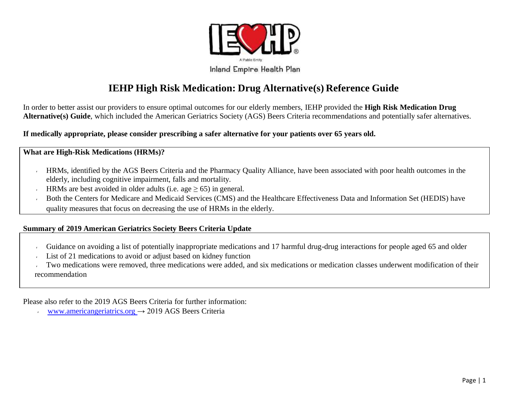

# **IEHP High Risk Medication: Drug Alternative(s) Reference Guide**

In order to better assist our providers to ensure optimal outcomes for our elderly members, IEHP provided the **High Risk Medication Drug Alternative(s) Guide**, which included the American Geriatrics Society (AGS) Beers Criteria recommendations and potentially safer alternatives.

**If medically appropriate, please consider prescribing a safer alternative for your patients over 65 years old.** 

### **What are High-Risk Medications (HRMs)?**

- HRMs, identified by the AGS Beers Criteria and the Pharmacy Quality Alliance, have been associated with poor health outcomes in the  $\epsilon$ elderly, including cognitive impairment, falls and mortality.
- HRMs are best avoided in older adults (i.e. age  $\geq$  65) in general.  $\epsilon$
- Both the Centers for Medicare and Medicaid Services (CMS) and the Healthcare Effectiveness Data and Information Set (HEDIS) have quality measures that focus on decreasing the use of HRMs in the elderly.

### **Summary of 2019 American Geriatrics Society Beers Criteria Update**

- Guidance on avoiding a list of potentially inappropriate medications and 17 harmful drug-drug interactions for people aged 65 and older  $\lambda$
- List of 21 medications to avoid or adjust based on kidney function

Two medications were removed, three medications were added, and six medications or medication classes underwent modification of their recommendation

Please also refer to the 2019 AGS Beers Criteria for further information:

www.americangeriatrics.org  $\rightarrow$  2019 AGS Beers Criteria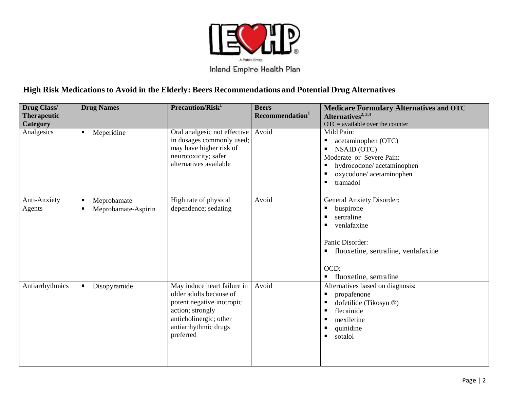

## **High Risk Medicationsto Avoid in the Elderly: Beers Recommendations and Potential Drug Alternatives**

| Drug Class/<br><b>Therapeutic</b><br>Category | <b>Drug Names</b>                            | Precaution/Risk <sup>1</sup>                                                                                                                                           | <b>Beers</b><br>Recommendation <sup>1</sup> | <b>Medicare Formulary Alternatives and OTC</b><br>Alternatives <sup>2, 3,4</sup><br>OTC= available over the counter                                                                               |
|-----------------------------------------------|----------------------------------------------|------------------------------------------------------------------------------------------------------------------------------------------------------------------------|---------------------------------------------|---------------------------------------------------------------------------------------------------------------------------------------------------------------------------------------------------|
| Analgesics                                    | Meperidine<br>П                              | Oral analgesic not effective<br>in dosages commonly used;<br>may have higher risk of<br>neurotoxicity; safer<br>alternatives available                                 | Avoid                                       | Mild Pain:<br>acetaminophen (OTC)<br><b>NSAID (OTC)</b><br>п<br>Moderate or Severe Pain:<br>hydrocodone/acetaminophen<br>oxycodone/acetaminophen<br>tramadol<br>٠                                 |
| Anti-Anxiety<br>Agents                        | Meprobamate<br>п<br>Meprobamate-Aspirin<br>٠ | High rate of physical<br>dependence; sedating                                                                                                                          | Avoid                                       | General Anxiety Disorder:<br>buspirone<br>sertraline<br>п<br>venlafaxine<br>п<br>Panic Disorder:<br>fluoxetine, sertraline, venlafaxine<br>п.<br>OCD:<br>fluoxetine, sertraline<br>$\blacksquare$ |
| Antiarrhythmics                               | Disopyramide                                 | May induce heart failure in<br>older adults because of<br>potent negative inotropic<br>action; strongly<br>anticholinergic; other<br>antiarrhythmic drugs<br>preferred | Avoid                                       | Alternatives based on diagnosis:<br>propafenone<br>п<br>dofetilide (Tikosyn ®)<br>flecainide<br>mexiletine<br>ш<br>quinidine<br>sotalol<br>п.                                                     |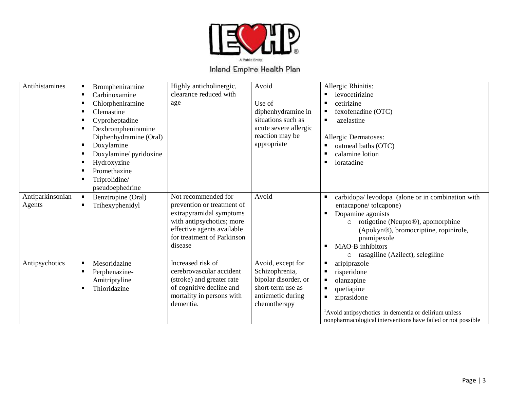

| Antihistamines   | п  | Brompheniramine        | Highly anticholinergic,    | Avoid                 | Allergic Rhinitis:                                               |
|------------------|----|------------------------|----------------------------|-----------------------|------------------------------------------------------------------|
|                  | л. | Carbinoxamine          | clearance reduced with     |                       | levocetirizine                                                   |
|                  | п. | Chlorpheniramine       | age                        | Use of                | cetirizine                                                       |
|                  | п  | Clemastine             |                            | diphenhydramine in    | fexofenadine (OTC)                                               |
|                  | в  | Cyproheptadine         |                            | situations such as    | azelastine<br>٠                                                  |
|                  | л. | Dexbrompheniramine     |                            | acute severe allergic |                                                                  |
|                  |    | Diphenhydramine (Oral) |                            | reaction may be       | Allergic Dermatoses:                                             |
|                  | п  | Doxylamine             |                            | appropriate           | oatmeal baths (OTC)<br>п                                         |
|                  | л. | Doxylamine/ pyridoxine |                            |                       | calamine lotion                                                  |
|                  | п. | Hydroxyzine            |                            |                       | loratadine<br>п                                                  |
|                  | п  | Promethazine           |                            |                       |                                                                  |
|                  | ш  | Triprolidine/          |                            |                       |                                                                  |
|                  |    | pseudoephedrine        |                            |                       |                                                                  |
| Antiparkinsonian | п  | Benztropine (Oral)     | Not recommended for        | Avoid                 | carbidopa/levodopa (alone or in combination with<br>٠            |
| Agents           | п. | Trihexyphenidyl        | prevention or treatment of |                       | entacapone/tolcapone)                                            |
|                  |    |                        | extrapyramidal symptoms    |                       | Dopamine agonists                                                |
|                  |    |                        | with antipsychotics; more  |                       | rotigotine (Neupro®), apomorphine<br>$\circ$                     |
|                  |    |                        | effective agents available |                       | (Apokyn®), bromocriptine, ropinirole,                            |
|                  |    |                        | for treatment of Parkinson |                       | pramipexole                                                      |
|                  |    |                        | disease                    |                       | <b>MAO-B</b> inhibitors<br>п                                     |
|                  |    |                        |                            |                       | rasagiline (Azilect), selegiline<br>$\circ$                      |
| Antipsychotics   | п  | Mesoridazine           | Increased risk of          | Avoid, except for     | aripiprazole<br>٠                                                |
|                  | л. | Perphenazine-          | cerebrovascular accident   | Schizophrenia,        | risperidone<br>٠                                                 |
|                  |    | Amitriptyline          | (stroke) and greater rate  | bipolar disorder, or  | olanzapine                                                       |
|                  | п  | Thioridazine           | of cognitive decline and   | short-term use as     | quetiapine<br>٠                                                  |
|                  |    |                        | mortality in persons with  | antiemetic during     | ziprasidone<br>٠                                                 |
|                  |    |                        | dementia.                  | chemotherapy          |                                                                  |
|                  |    |                        |                            |                       | <sup>1</sup> Avoid antipsychotics in dementia or delirium unless |
|                  |    |                        |                            |                       | nonpharmacological interventions have failed or not possible     |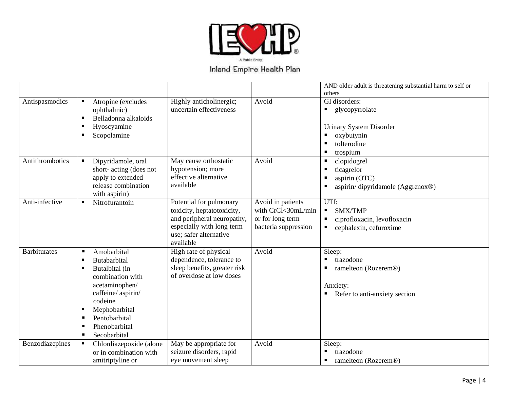

|                     |                                                        |                                                          |                      | AND older adult is threatening substantial harm to self or |
|---------------------|--------------------------------------------------------|----------------------------------------------------------|----------------------|------------------------------------------------------------|
|                     |                                                        |                                                          |                      | others                                                     |
| Antispasmodics      | Atropine (excludes<br>$\blacksquare$                   | Highly anticholinergic;                                  | Avoid                | GI disorders:                                              |
|                     | ophthalmic)                                            | uncertain effectiveness                                  |                      | glycopyrrolate<br>$\blacksquare$                           |
|                     | Belladonna alkaloids<br>٠                              |                                                          |                      |                                                            |
|                     | Hyoscyamine<br>п                                       |                                                          |                      | <b>Urinary System Disorder</b>                             |
|                     | Scopolamine<br>٠                                       |                                                          |                      | oxybutynin                                                 |
|                     |                                                        |                                                          |                      | tolterodine                                                |
|                     |                                                        |                                                          |                      | trospium<br>п                                              |
| Antithrombotics     | Dipyridamole, oral<br>п                                | May cause orthostatic                                    | Avoid                | clopidogrel<br>Е                                           |
|                     | short-acting (does not<br>apply to extended            | hypotension; more<br>effective alternative               |                      | ticagrelor                                                 |
|                     | release combination                                    | available                                                |                      | aspirin (OTC)                                              |
|                     | with aspirin)                                          |                                                          |                      | aspirin/dipyridamole (Aggrenox®)<br>п                      |
| Anti-infective      | Nitrofurantoin<br>п.                                   | Potential for pulmonary                                  | Avoid in patients    | UTI:                                                       |
|                     |                                                        | toxicity, heptatotoxicity,                               | with CrCl<30mL/min   | SMX/TMP<br>$\blacksquare$                                  |
|                     |                                                        | and peripheral neuropathy,                               | or for long term     | ciprofloxacin, levofloxacin                                |
|                     |                                                        | especially with long term                                | bacteria suppression | cephalexin, cefuroxime<br>п                                |
|                     |                                                        | use; safer alternative                                   |                      |                                                            |
|                     |                                                        | available                                                |                      |                                                            |
| <b>Barbiturates</b> | Amobarbital<br>٠                                       | High rate of physical                                    | Avoid                | Sleep:                                                     |
|                     | Butabarbital<br>٠                                      | dependence, tolerance to                                 |                      | trazodone<br>٠                                             |
|                     | Butalbital (in<br>٠                                    | sleep benefits, greater risk<br>of overdose at low doses |                      | ramelteon (Rozerem®)                                       |
|                     | combination with                                       |                                                          |                      |                                                            |
|                     | acetaminophen/                                         |                                                          |                      | Anxiety:                                                   |
|                     | caffeine/aspirin/<br>codeine                           |                                                          |                      | Refer to anti-anxiety section                              |
|                     |                                                        |                                                          |                      |                                                            |
|                     | Mephobarbital<br>п<br>Pentobarbital<br>ш               |                                                          |                      |                                                            |
|                     | Phenobarbital<br>п                                     |                                                          |                      |                                                            |
|                     | Secobarbital<br>$\blacksquare$                         |                                                          |                      |                                                            |
| Benzodiazepines     |                                                        |                                                          | Avoid                |                                                            |
|                     | Chlordiazepoxide (alone<br>п<br>or in combination with | May be appropriate for<br>seizure disorders, rapid       |                      | Sleep:<br>trazodone                                        |
|                     | amitriptyline or                                       | eye movement sleep                                       |                      | ramelteon (Rozerem®)                                       |
|                     |                                                        |                                                          |                      |                                                            |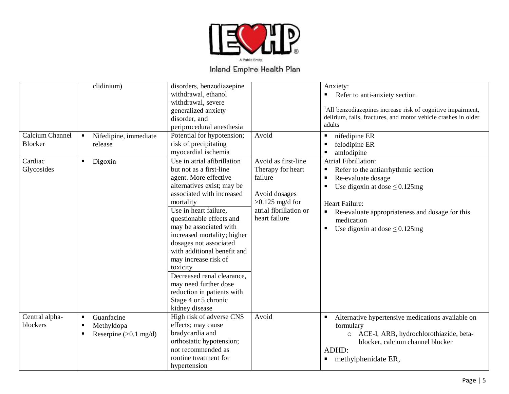

|                            | clidinium)                                                                                   | disorders, benzodiazepine<br>withdrawal, ethanol<br>withdrawal, severe<br>generalized anxiety<br>disorder, and<br>periprocedural anesthesia                                                                                                                                                                                                                                                                                                                                                       |                                                                                                                                      | Anxiety:<br>Refer to anti-anxiety section<br>ш<br><sup>1</sup> All benzodiazepines increase risk of cognitive impairment,<br>delirium, falls, fractures, and motor vehicle crashes in older<br>adults                                                                    |
|----------------------------|----------------------------------------------------------------------------------------------|---------------------------------------------------------------------------------------------------------------------------------------------------------------------------------------------------------------------------------------------------------------------------------------------------------------------------------------------------------------------------------------------------------------------------------------------------------------------------------------------------|--------------------------------------------------------------------------------------------------------------------------------------|--------------------------------------------------------------------------------------------------------------------------------------------------------------------------------------------------------------------------------------------------------------------------|
| Calcium Channel<br>Blocker | Nifedipine, immediate<br>$\blacksquare$<br>release                                           | Potential for hypotension;<br>risk of precipitating<br>myocardial ischemia                                                                                                                                                                                                                                                                                                                                                                                                                        | Avoid                                                                                                                                | nifedipine ER<br>п<br>felodipine ER<br>amlodipine<br>п                                                                                                                                                                                                                   |
| Cardiac<br>Glycosides      | Digoxin<br>$\blacksquare$                                                                    | Use in atrial afibrillation<br>but not as a first-line<br>agent. More effective<br>alternatives exist; may be<br>associated with increased<br>mortality<br>Use in heart failure,<br>questionable effects and<br>may be associated with<br>increased mortality; higher<br>dosages not associated<br>with additional benefit and<br>may increase risk of<br>toxicity<br>Decreased renal clearance,<br>may need further dose<br>reduction in patients with<br>Stage 4 or 5 chronic<br>kidney disease | Avoid as first-line<br>Therapy for heart<br>failure<br>Avoid dosages<br>$>0.125$ mg/d for<br>atrial fibrillation or<br>heart failure | Atrial Fibrillation:<br>Refer to the antiarrhythmic section<br>п<br>Re-evaluate dosage<br>Е<br>Use digoxin at dose $\leq 0.125$ mg<br>п<br>Heart Failure:<br>• Re-evaluate appropriateness and dosage for this<br>medication<br>Use digoxin at dose $\leq 0.125$ mg<br>٠ |
| Central alpha-<br>blockers | Guanfacine<br>$\blacksquare$<br>Methyldopa<br>٠<br>Reserpine $(>0.1$ mg/d)<br>$\blacksquare$ | High risk of adverse CNS<br>effects; may cause<br>bradycardia and<br>orthostatic hypotension;<br>not recommended as<br>routine treatment for<br>hypertension                                                                                                                                                                                                                                                                                                                                      | Avoid                                                                                                                                | Alternative hypertensive medications available on<br>formulary<br>O ACE-I, ARB, hydrochlorothiazide, beta-<br>blocker, calcium channel blocker<br>ADHD:<br>methylphenidate ER,<br>ш                                                                                      |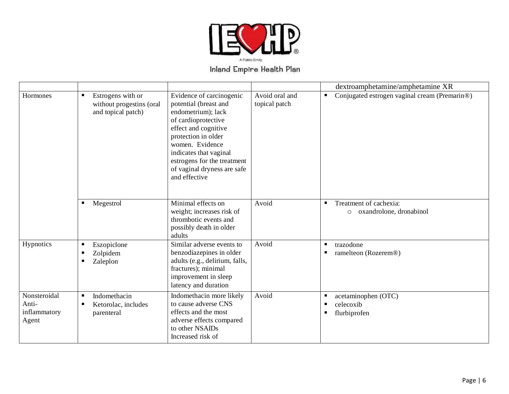

|                                                |                                                                     |                                                                                                                                                                                                                                                                           |                                 | dextroamphetamine/amphetamine XR                                  |
|------------------------------------------------|---------------------------------------------------------------------|---------------------------------------------------------------------------------------------------------------------------------------------------------------------------------------------------------------------------------------------------------------------------|---------------------------------|-------------------------------------------------------------------|
| Hormones                                       | Estrogens with or<br>without progestins (oral<br>and topical patch) | Evidence of carcinogenic<br>potential (breast and<br>endometrium); lack<br>of cardioprotective<br>effect and cognitive<br>protection in older<br>women. Evidence<br>indicates that vaginal<br>estrogens for the treatment<br>of vaginal dryness are safe<br>and effective | Avoid oral and<br>topical patch | Conjugated estrogen vaginal cream (Premarin®)<br>٠                |
|                                                | Megestrol<br>٠                                                      | Minimal effects on<br>weight; increases risk of<br>thrombotic events and<br>possibly death in older<br>adults                                                                                                                                                             | Avoid                           | Treatment of cachexia:<br>٠<br>oxandrolone, dronabinol<br>$\circ$ |
| Hypnotics                                      | Eszopiclone<br>п<br>Zolpidem<br>п<br>Zaleplon                       | Similar adverse events to<br>benzodiazepines in older<br>adults (e.g., delirium, falls,<br>fractures); minimal<br>improvement in sleep<br>latency and duration                                                                                                            | Avoid                           | trazodone<br>п<br>ramelteon (Rozerem®)<br>п                       |
| Nonsteroidal<br>Anti-<br>inflammatory<br>Agent | Indomethacin<br>п<br>Ketorolac, includes<br>п<br>parenteral         | Indomethacin more likely<br>to cause adverse CNS<br>effects and the most<br>adverse effects compared<br>to other NSAIDs<br>Increased risk of                                                                                                                              | Avoid                           | acetaminophen (OTC)<br>celecoxib<br>п<br>flurbiprofen<br>п        |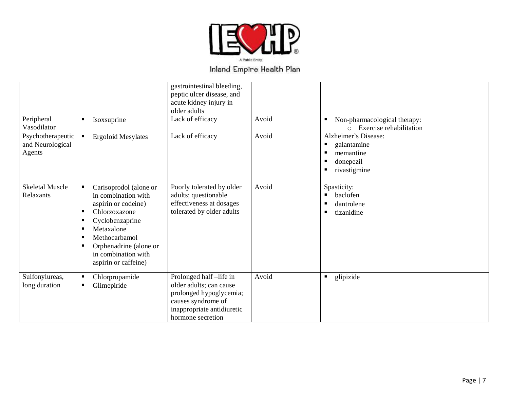

|                                                 |                                                                                                                                                                                                                                                | gastrointestinal bleeding,<br>peptic ulcer disease, and<br>acute kidney injury in<br>older adults                                                     |       |                                                                                    |
|-------------------------------------------------|------------------------------------------------------------------------------------------------------------------------------------------------------------------------------------------------------------------------------------------------|-------------------------------------------------------------------------------------------------------------------------------------------------------|-------|------------------------------------------------------------------------------------|
| Peripheral<br>Vasodilator                       | Isoxsuprine<br>$\blacksquare$                                                                                                                                                                                                                  | Lack of efficacy                                                                                                                                      | Avoid | Non-pharmacological therapy:<br>Exercise rehabilitation<br>$\bigcap$               |
| Psychotherapeutic<br>and Neurological<br>Agents | <b>Ergoloid Mesylates</b><br>$\blacksquare$                                                                                                                                                                                                    | Lack of efficacy                                                                                                                                      | Avoid | Alzheimer's Disease:<br>galantamine<br>memantine<br>donepezil<br>п<br>rivastigmine |
| <b>Skeletal Muscle</b><br>Relaxants             | Carisoprodol (alone or<br>п<br>in combination with<br>aspirin or codeine)<br>Chlorzoxazone<br>п<br>Cyclobenzaprine<br>٠<br>Metaxalone<br>٠<br>Methocarbamol<br>п<br>Orphenadrine (alone or<br>٠<br>in combination with<br>aspirin or caffeine) | Poorly tolerated by older<br>adults; questionable<br>effectiveness at dosages<br>tolerated by older adults                                            | Avoid | Spasticity:<br>baclofen<br>٠<br>dantrolene<br>п<br>tizanidine<br>п.                |
| Sulfonylureas,<br>long duration                 | Chlorpropamide<br>п<br>Glimepiride<br>п                                                                                                                                                                                                        | Prolonged half-life in<br>older adults; can cause<br>prolonged hypoglycemia;<br>causes syndrome of<br>inappropriate antidiuretic<br>hormone secretion | Avoid | glipizide<br>$\blacksquare$                                                        |